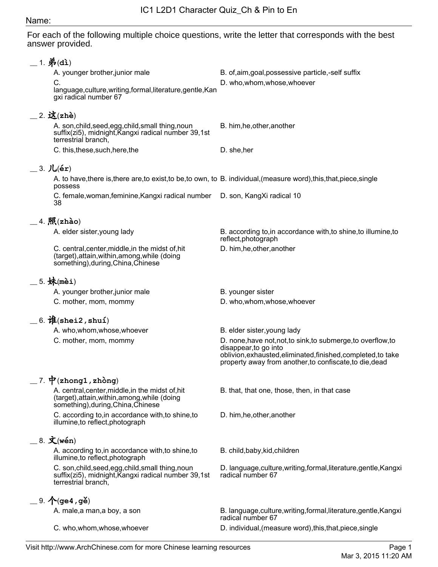## Name:

For each of the following multiple choice questions, write the letter that corresponds with the best answer provided.

| $=$ 1. 弟(dì)<br>A. younger brother, junior male<br>C.                                                                                            | B. of, aim, goal, possessive particle,-self suffix<br>D. who, whom, whose, whoever                                                                                                                                 |
|--------------------------------------------------------------------------------------------------------------------------------------------------|--------------------------------------------------------------------------------------------------------------------------------------------------------------------------------------------------------------------|
| language, culture, writing, formal, literature, gentle, Kan<br>gxi radical number 67                                                             |                                                                                                                                                                                                                    |
| $-2.$ 这(zhè)<br>A. son, child, seed, egg, child, small thing, noun<br>suffix(zi5), midnight, Kangxi radical number 39,1st<br>terrestrial branch, | B. him, he, other, another                                                                                                                                                                                         |
| C. this, these, such, here, the                                                                                                                  | D. she, her                                                                                                                                                                                                        |
| $=$ 3. $Ju(er)$                                                                                                                                  |                                                                                                                                                                                                                    |
| A. to have, there is, there are, to exist, to be, to own, to B. individual, (measure word), this, that, piece, single<br>possess                 |                                                                                                                                                                                                                    |
| C. female, woman, feminine, Kangxi radical number D. son, KangXi radical 10<br>38                                                                |                                                                                                                                                                                                                    |
| $=$ 4. $\mathbb{R}$ (zhào)                                                                                                                       |                                                                                                                                                                                                                    |
| A. elder sister, young lady                                                                                                                      | B. according to, in accordance with, to shine, to illumine, to<br>reflect, photograph                                                                                                                              |
| C. central, center, middle, in the midst of, hit<br>(target), attain, within, among, while (doing<br>something), during, China, Chinese          | D. him, he, other, another                                                                                                                                                                                         |
| _5. 妹(mèi)                                                                                                                                       |                                                                                                                                                                                                                    |
| A. younger brother, junior male                                                                                                                  | B. younger sister                                                                                                                                                                                                  |
| C. mother, mom, mommy                                                                                                                            | D. who, whom, whose, whoever                                                                                                                                                                                       |
| $=$ 6. $\mathbf{\hat{H}}$ (shei2, shuí)                                                                                                          |                                                                                                                                                                                                                    |
| A. who, whom, whose, whoever                                                                                                                     | B. elder sister, young lady                                                                                                                                                                                        |
| C. mother, mom, mommy                                                                                                                            | D. none, have not, not, to sink, to submerge, to overflow, to<br>disappear, to go into<br>oblivion, exhausted, eliminated, finished, completed, to take<br>property away from another, to confiscate, to die, dead |
| 7. $\mathbf{\dot{P}}$ (zhong1, zhòng)                                                                                                            |                                                                                                                                                                                                                    |
| A. central, center, middle, in the midst of, hit<br>(target), attain, within, among, while (doing<br>something), during, China, Chinese          | B. that, that one, those, then, in that case                                                                                                                                                                       |
| C. according to in accordance with to shine to<br>illumine, to reflect, photograph                                                               | D. him, he, other, another                                                                                                                                                                                         |
| $=$ 8. 文(wén)                                                                                                                                    |                                                                                                                                                                                                                    |
| A. according to, in accordance with, to shine, to<br>illumine, to reflect, photograph                                                            | B. child, baby, kid, children                                                                                                                                                                                      |
| C. son, child, seed, egg, child, small thing, noun<br>suffix(zi5), midnight, Kangxi radical number 39,1st<br>terrestrial branch,                 | D. language, culture, writing, formal, literature, gentle, Kangxi<br>radical number 67                                                                                                                             |
| $=$ 9. $\mathcal{A}$ (ge4, gě)                                                                                                                   |                                                                                                                                                                                                                    |
| A. male, a man, a boy, a son                                                                                                                     | B. language, culture, writing, formal, literature, gentle, Kangxi<br>radical number 67                                                                                                                             |
| C. who, whom, whose, whoever                                                                                                                     | D. individual, (measure word), this, that, piece, single                                                                                                                                                           |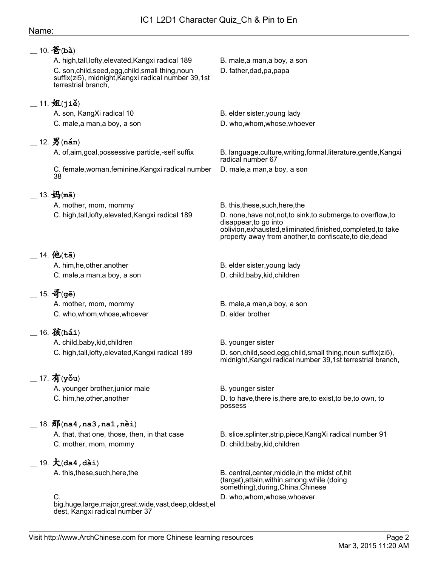## Name:

| $10.$ 爸 (bà)                                                                                                                     |                                                                                                                                                                                                                    |
|----------------------------------------------------------------------------------------------------------------------------------|--------------------------------------------------------------------------------------------------------------------------------------------------------------------------------------------------------------------|
| A. high, tall, lofty, elevated, Kangxi radical 189                                                                               | B. male, a man, a boy, a son                                                                                                                                                                                       |
| C. son, child, seed, egg, child, small thing, noun<br>suffix(zi5), midnight, Kangxi radical number 39,1st<br>terrestrial branch, | D. father, dad, pa, papa                                                                                                                                                                                           |
| $\_$ 11. 姐(jiě)                                                                                                                  |                                                                                                                                                                                                                    |
| A. son, KangXi radical 10                                                                                                        | B. elder sister, young lady                                                                                                                                                                                        |
| C. male, a man, a boy, a son                                                                                                     | D. who, whom, whose, whoever                                                                                                                                                                                       |
|                                                                                                                                  |                                                                                                                                                                                                                    |
| $-12.$ $\frac{12}{3}$ (nán)                                                                                                      |                                                                                                                                                                                                                    |
| A. of, aim, goal, possessive particle,-self suffix                                                                               | B. language, culture, writing, formal, literature, gentle, Kangxi<br>radical number 67                                                                                                                             |
| C. female, woman, feminine, Kangxi radical number<br>38                                                                          | D. male, a man, a boy, a son                                                                                                                                                                                       |
| $\_$ 13. 妈(mā)                                                                                                                   |                                                                                                                                                                                                                    |
| A. mother, mom, mommy                                                                                                            | B. this, these, such, here, the                                                                                                                                                                                    |
| C. high,tall,lofty,elevated,Kangxi radical 189                                                                                   | D. none, have not, not, to sink, to submerge, to overflow, to<br>disappear, to go into<br>oblivion, exhausted, eliminated, finished, completed, to take<br>property away from another, to confiscate, to die, dead |
| __ 14. 他(tā)                                                                                                                     |                                                                                                                                                                                                                    |
| A. him, he, other, another                                                                                                       | B. elder sister, young lady                                                                                                                                                                                        |
| C. male, a man, a boy, a son                                                                                                     | D. child, baby, kid, children                                                                                                                                                                                      |
| $=$ 15. 哥(gē)                                                                                                                    |                                                                                                                                                                                                                    |
| A. mother, mom, mommy                                                                                                            | B. male, a man, a boy, a son                                                                                                                                                                                       |
| C. who, whom, whose, whoever                                                                                                     | D. elder brother                                                                                                                                                                                                   |
|                                                                                                                                  |                                                                                                                                                                                                                    |
| $\_$ 16. 孩(hái)                                                                                                                  |                                                                                                                                                                                                                    |
| A. child, baby, kid, children                                                                                                    | B. younger sister                                                                                                                                                                                                  |
| C. high,tall,lofty,elevated, Kangxi radical 189                                                                                  | D. son, child, seed, egg, child, small thing, noun suffix(zi5),<br>midnight, Kangxi radical number 39,1st terrestrial branch,                                                                                      |
| $-17.$ 有(yǒu)                                                                                                                    |                                                                                                                                                                                                                    |
| A. younger brother, junior male                                                                                                  | B. younger sister                                                                                                                                                                                                  |
| C. him, he, other, another                                                                                                       | D. to have, there is, there are, to exist, to be, to own, to<br>possess                                                                                                                                            |
| $\_$ 18. $\rm \hbox{\AA}$ (na4,na3,na1,nèi)                                                                                      |                                                                                                                                                                                                                    |
| A. that, that one, those, then, in that case                                                                                     | B. slice, splinter, strip, piece, Kang Xi radical number 91                                                                                                                                                        |
| C. mother, mom, mommy                                                                                                            | D. child, baby, kid, children                                                                                                                                                                                      |
|                                                                                                                                  |                                                                                                                                                                                                                    |
| $-19. \n\bm{\mathcal{K}}$ (da4, dài)                                                                                             |                                                                                                                                                                                                                    |
| A. this, these, such, here, the                                                                                                  | B. central, center, middle, in the midst of, hit<br>(target), attain, within, among, while (doing<br>something), during, China, Chinese                                                                            |
| C.                                                                                                                               | D. who, whom, whose, whoever                                                                                                                                                                                       |
| big, huge, large, major, great, wide, vast, deep, oldest, el<br>dest, Kangxi radical number 37                                   |                                                                                                                                                                                                                    |